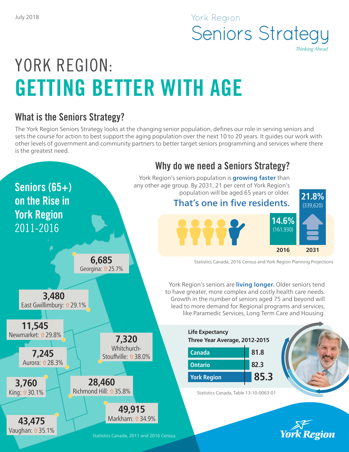# York Region Seniors Strategy *Thinking Ahead*

# YORK REGION: GETTING BETTER WITH AGE

## What is the Seniors Strategy?

The York Region Seniors Strategy looks at the changing senior population, defines our role in serving seniors and sets the course for action to best support the aging population over the next 10 to 20 years. It guides our work with other levels of government and community partners to better target seniors programming and services where there is the greatest need.

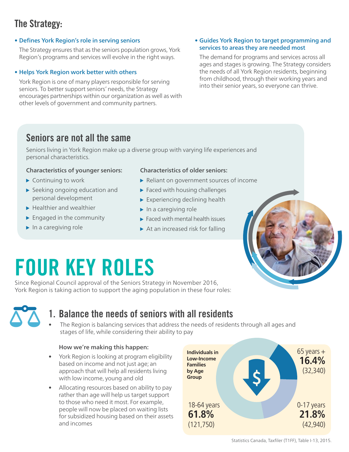# The Strategy:

• Defines York Region's role in serving seniors

The Strategy ensures that as the seniors population grows, York Region's programs and services will evolve in the right ways.

## • Helps York Region work better with others

York Region is one of many players responsible for serving seniors. To better support seniors' needs, the Strategy encourages partnerships within our organization as well as with other levels of government and community partners.

#### • Guides York Region to target programming and services to areas they are needed most

The demand for programs and services across all ages and stages is growing. The Strategy considers the needs of all York Region residents, beginning from childhood, through their working years and into their senior years, so everyone can thrive.

## Seniors are not all the same

Seniors living in York Region make up a diverse group with varying life experiences and personal characteristics.

### Characteristics of younger seniors:

- ▶ Continuing to work
- Seeking ongoing education and personal development
- $\blacktriangleright$  Healthier and wealthier
- $\blacktriangleright$  Engaged in the community
- $\blacktriangleright$  In a caregiving role

### Characteristics of older seniors:

- ▶ Reliant on government sources of income
- $\blacktriangleright$  Faced with housing challenges
- $\blacktriangleright$  Experiencing declining health
- $\blacktriangleright$  In a caregiving role
- $\blacktriangleright$  Faced with mental health issues
- $\triangleright$  At an increased risk for falling



# FOUR KEY ROLES

Since Regional Council approval of the Seniors Strategy in November 2016, York Region is taking action to support the aging population in these four roles:



## 1. Balance the needs of seniors with all residents

• The Region is balancing services that address the needs of residents through all ages and stages of life, while considering their ability to pay

## How we're making this happen:

- York Region is looking at program eligibility based on income and not just age; an approach that will help all residents living with low income, young and old
- Allocating resources based on ability to pay rather than age will help us target support to those who need it most. For example, people will now be placed on waiting lists for subsidized housing based on their assets and incomes



Statistics Canada, Taxfiler (T1FF), Table I-13, 2015.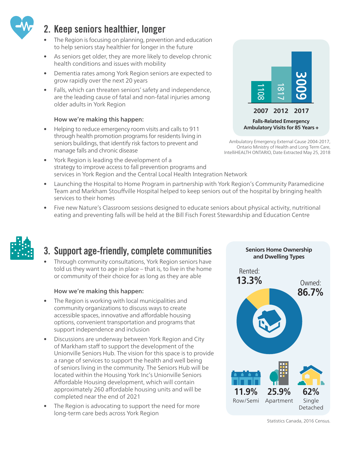

# 2. Keep seniors healthier, longer

- The Region is focusing on planning, prevention and education to help seniors stay healthier for longer in the future
- As seniors get older, they are more likely to develop chronic health conditions and issues with mobility
- Dementia rates among York Region seniors are expected to grow rapidly over the next 20 years
- Falls, which can threaten seniors' safety and independence, are the leading cause of fatal and non-fatal injuries among older adults in York Region

## How we're making this happen:

- Helping to reduce emergency room visits and calls to 911 through health promotion programs for residents living in seniors buildings, that identify risk factors to prevent and manage falls and chronic disease
- York Region is leading the development of a strategy to improve access to fall prevention programs and services in York Region and the Central Local Health Integration Network
- Launching the Hospital to Home Program in partnership with York Region's Community Paramedicine Team and Markham Stouffville Hospital helped to keep seniors out of the hospital by bringing health services to their homes
- Five new Nature's Classroom sessions designed to educate seniors about physical activity, nutritional eating and preventing falls will be held at the Bill Fisch Forest Stewardship and Education Centre



# 3. Support age-friendly, complete communities

• Through community consultations, York Region seniors have told us they want to age in place – that is, to live in the home or community of their choice for as long as they are able

## How we're making this happen:

- The Region is working with local municipalities and community organizations to discuss ways to create accessible spaces, innovative and affordable housing options, convenient transportation and programs that support independence and inclusion
- Discussions are underway between York Region and City of Markham staff to support the development of the Unionville Seniors Hub. The vision for this space is to provide a range of services to support the health and well being of seniors living in the community. The Seniors Hub will be located within the Housing York Inc's Unionville Seniors Affordable Housing development, which will contain approximately 260 affordable housing units and will be completed near the end of 2021
- The Region is advocating to support the need for more long-term care beds across York Region



Ambulatory Emergency External Cause 2004-2017, Ontario Ministry of Health and Long Term Care, IntelliHEALTH ONTARIO, Date Extracted May 25, 2018



Statistics Canada, 2016 Census.